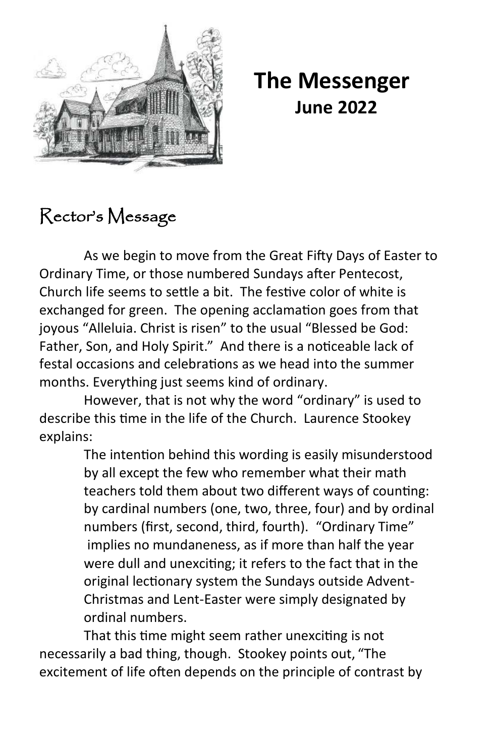

 **The Messenger June 2022**

## Rector's Message

As we begin to move from the Great Fifty Days of Easter to Ordinary Time, or those numbered Sundays after Pentecost, Church life seems to settle a bit. The festive color of white is exchanged for green. The opening acclamation goes from that joyous "Alleluia. Christ is risen" to the usual "Blessed be God: Father, Son, and Holy Spirit." And there is a noticeable lack of festal occasions and celebrations as we head into the summer months. Everything just seems kind of ordinary.

However, that is not why the word "ordinary" is used to describe this time in the life of the Church. Laurence Stookey explains:

> The intention behind this wording is easily misunderstood by all except the few who remember what their math teachers told them about two different ways of counting: by cardinal numbers (one, two, three, four) and by ordinal numbers (first, second, third, fourth). "Ordinary Time" implies no mundaneness, as if more than half the year were dull and unexciting; it refers to the fact that in the original lectionary system the Sundays outside Advent-Christmas and Lent-Easter were simply designated by ordinal numbers.

That this time might seem rather unexciting is not necessarily a bad thing, though. Stookey points out, "The excitement of life often depends on the principle of contrast by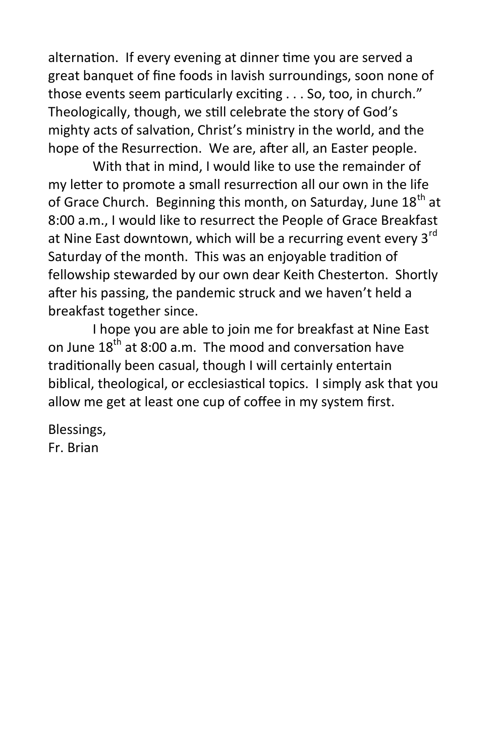alternation. If every evening at dinner time you are served a great banquet of fine foods in lavish surroundings, soon none of those events seem particularly exciting . . . So, too, in church." Theologically, though, we still celebrate the story of God's mighty acts of salvation, Christ's ministry in the world, and the hope of the Resurrection. We are, after all, an Easter people.

With that in mind, I would like to use the remainder of my letter to promote a small resurrection all our own in the life of Grace Church. Beginning this month, on Saturday, June  $18<sup>th</sup>$  at 8:00 a.m., I would like to resurrect the People of Grace Breakfast at Nine East downtown, which will be a recurring event every 3<sup>rd</sup> Saturday of the month. This was an enjoyable tradition of fellowship stewarded by our own dear Keith Chesterton. Shortly after his passing, the pandemic struck and we haven't held a breakfast together since.

I hope you are able to join me for breakfast at Nine East on June 18<sup>th</sup> at 8:00 a.m. The mood and conversation have traditionally been casual, though I will certainly entertain biblical, theological, or ecclesiastical topics. I simply ask that you allow me get at least one cup of coffee in my system first.

Blessings, Fr. Brian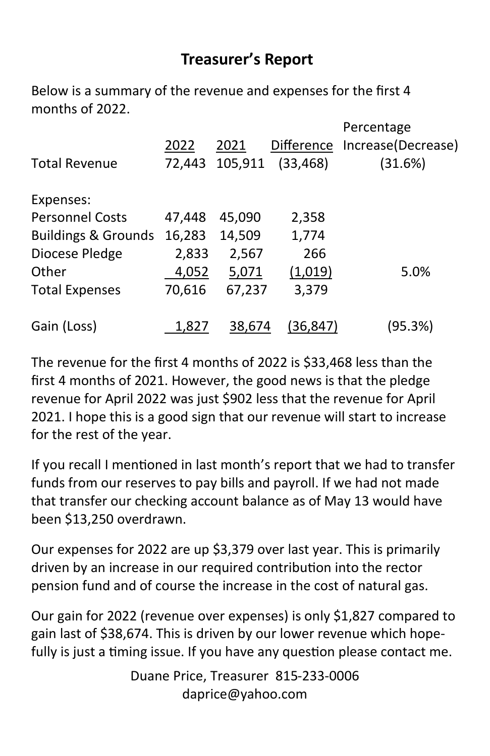## **Treasurer's Report**

Below is a summary of the revenue and expenses for the first 4 months of 2022.

| <b>Total Revenue</b>           | 2022<br>72,443 | 2021<br>105,911 | <b>Difference</b><br>(33, 468) | Percentage<br>Increase(Decrease)<br>(31.6%) |
|--------------------------------|----------------|-----------------|--------------------------------|---------------------------------------------|
| Expenses:                      |                |                 |                                |                                             |
| <b>Personnel Costs</b>         | 47,448         | 45,090          | 2,358                          |                                             |
| <b>Buildings &amp; Grounds</b> | 16,283         | 14,509          | 1,774                          |                                             |
| Diocese Pledge                 | 2,833          | 2,567           | 266                            |                                             |
| Other                          | 4,052          | 5,071           | (1,019)                        | 5.0%                                        |
| <b>Total Expenses</b>          | 70,616         | 67,237          | 3,379                          |                                             |
| Gain (Loss)                    | 1.827          | 38.674          | (36.847)                       | (95.3%)                                     |

The revenue for the first 4 months of 2022 is \$33,468 less than the first 4 months of 2021. However, the good news is that the pledge revenue for April 2022 was just \$902 less that the revenue for April 2021. I hope this is a good sign that our revenue will start to increase for the rest of the year.

If you recall I mentioned in last month's report that we had to transfer funds from our reserves to pay bills and payroll. If we had not made that transfer our checking account balance as of May 13 would have been \$13,250 overdrawn.

Our expenses for 2022 are up \$3,379 over last year. This is primarily driven by an increase in our required contribution into the rector pension fund and of course the increase in the cost of natural gas.

Our gain for 2022 (revenue over expenses) is only \$1,827 compared to gain last of \$38,674. This is driven by our lower revenue which hopefully is just a timing issue. If you have any question please contact me.

> Duane Price, Treasurer 815-233-0006 daprice@yahoo.com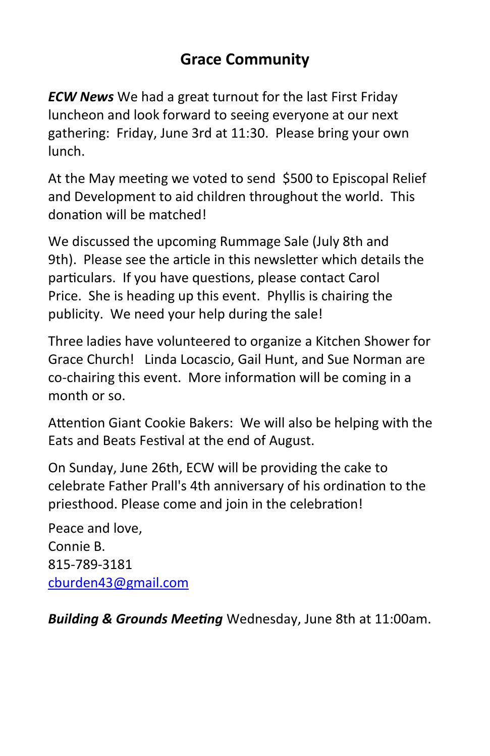## **Grace Community**

*ECW News* We had a great turnout for the last First Friday luncheon and look forward to seeing everyone at our next gathering: Friday, June 3rd at 11:30. Please bring your own lunch.

At the May meeting we voted to send \$500 to Episcopal Relief and Development to aid children throughout the world. This donation will be matched!

We discussed the upcoming Rummage Sale (July 8th and 9th). Please see the article in this newsletter which details the particulars. If you have questions, please contact Carol Price. She is heading up this event. Phyllis is chairing the publicity. We need your help during the sale!

Three ladies have volunteered to organize a Kitchen Shower for Grace Church! Linda Locascio, Gail Hunt, and Sue Norman are co-chairing this event. More information will be coming in a month or so.

Attention Giant Cookie Bakers: We will also be helping with the Eats and Beats Festival at the end of August.

On Sunday, June 26th, ECW will be providing the cake to celebrate Father Prall's 4th anniversary of his ordination to the priesthood. Please come and join in the celebration!

Peace and love, Connie B. 815-789-3181 [cburden43@gmail.com](mailto:cburden43@gmail.com)

*Building & Grounds Meeting* Wednesday, June 8th at 11:00am.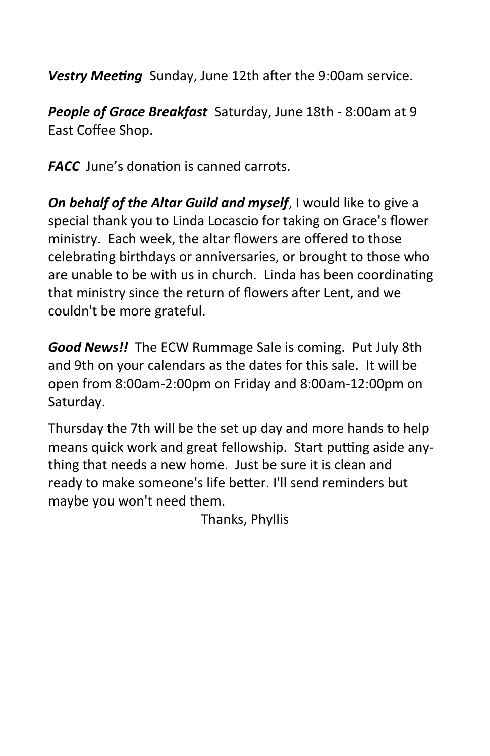*Vestry Meeting* Sunday, June 12th after the 9:00am service.

*People of Grace Breakfast* Saturday, June 18th - 8:00am at 9 East Coffee Shop.

*FACC*June's donation is canned carrots.

*On behalf of the Altar Guild and myself*, I would like to give a special thank you to Linda Locascio for taking on Grace's flower ministry. Each week, the altar flowers are offered to those celebrating birthdays or anniversaries, or brought to those who are unable to be with us in church. Linda has been coordinating that ministry since the return of flowers after Lent, and we couldn't be more grateful.

*Good News!!* The ECW Rummage Sale is coming. Put July 8th and 9th on your calendars as the dates for this sale. It will be open from 8:00am-2:00pm on Friday and 8:00am-12:00pm on Saturday.

Thursday the 7th will be the set up day and more hands to help means quick work and great fellowship. Start putting aside anything that needs a new home. Just be sure it is clean and ready to make someone's life better. I'll send reminders but maybe you won't need them.

Thanks, Phyllis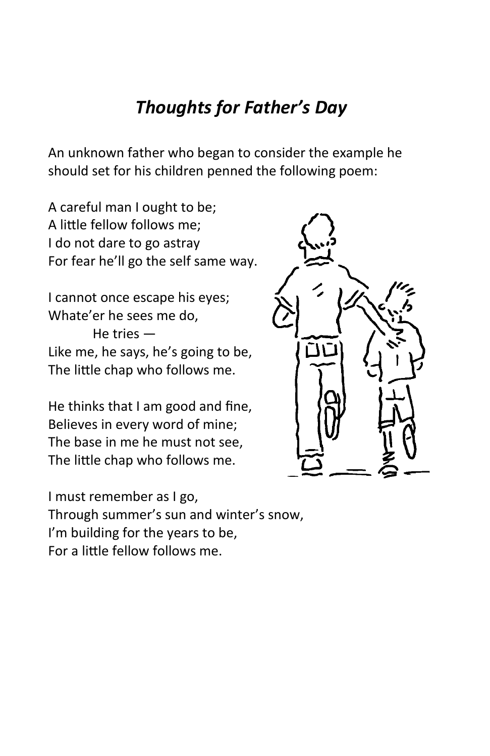## *Thoughts for Father's Day*

An unknown father who began to consider the example he should set for his children penned the following poem:

A careful man I ought to be; A little fellow follows me; I do not dare to go astray For fear he'll go the self same way.

I cannot once escape his eyes; Whate'er he sees me do, He tries — Like me, he says, he's going to be, The little chap who follows me.

He thinks that I am good and fine, Believes in every word of mine; The base in me he must not see, The little chap who follows me.



I must remember as I go, Through summer's sun and winter's snow, I'm building for the years to be, For a little fellow follows me.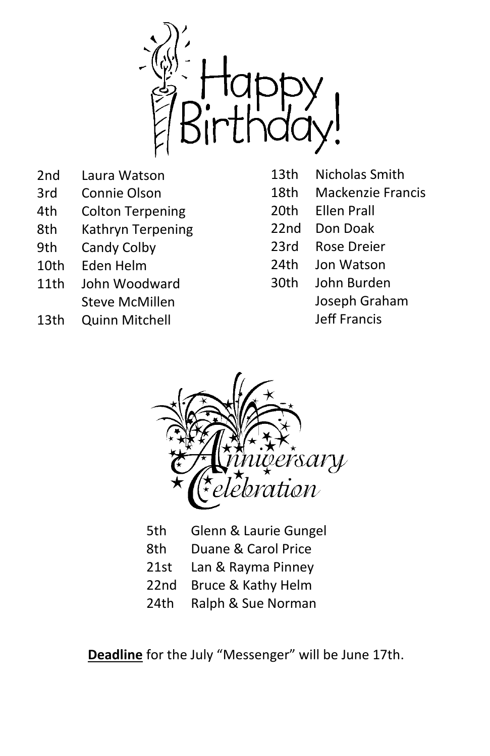

- 2nd Laura Watson
- 3rd Connie Olson
- 4th Colton Terpening
- 8th Kathryn Terpening
- 9th Candy Colby
- 10th Eden Helm
- 11th John Woodward Steve McMillen
- 13th Quinn Mitchell
- 13th Nicholas Smith
- 18th Mackenzie Francis
- 20th Ellen Prall
- 22nd Don Doak
- 23rd Rose Dreier
- 24th Jon Watson
- 30th John Burden
	- Joseph Graham
		- Jeff Francis



- 5th Glenn & Laurie Gungel
- 8th Duane & Carol Price
- 21st Lan & Rayma Pinney
- 22nd Bruce & Kathy Helm
- 24th Ralph & Sue Norman

**Deadline** for the July "Messenger" will be June 17th.